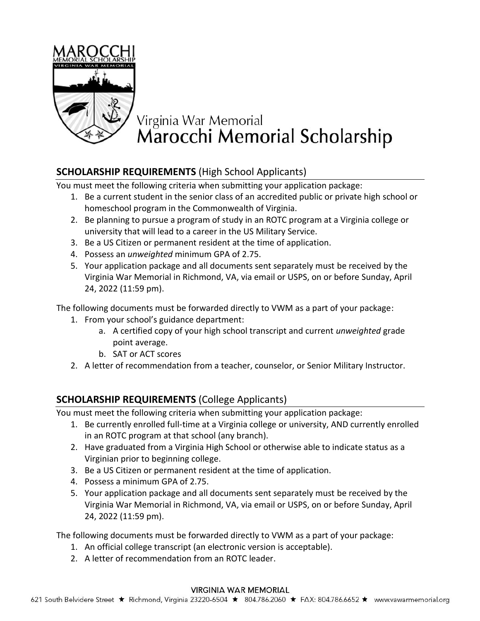

## Virginia War Memorial<br>Marocchi Memorial Scholarship

## **SCHOLARSHIP REQUIREMENTS** (High School Applicants)

You must meet the following criteria when submitting your application package:

- 1. Be a current student in the senior class of an accredited public or private high school or homeschool program in the Commonwealth of Virginia.
- 2. Be planning to pursue a program of study in an ROTC program at a Virginia college or university that will lead to a career in the US Military Service.
- 3. Be a US Citizen or permanent resident at the time of application.
- 4. Possess an *unweighted* minimum GPA of 2.75.
- 5. Your application package and all documents sent separately must be received by the Virginia War Memorial in Richmond, VA, via email or USPS, on or before Sunday, April 24, 2022 (11:59 pm).

The following documents must be forwarded directly to VWM as a part of your package:

- 1. From your school's guidance department:
	- a. A certified copy of your high school transcript and current *unweighted* grade point average.
	- b. SAT or ACT scores
- 2. A letter of recommendation from a teacher, counselor, or Senior Military Instructor.

## **SCHOLARSHIP REQUIREMENTS** (College Applicants)

You must meet the following criteria when submitting your application package:

- 1. Be currently enrolled full-time at a Virginia college or university, AND currently enrolled in an ROTC program at that school (any branch).
- 2. Have graduated from a Virginia High School or otherwise able to indicate status as a Virginian prior to beginning college.
- 3. Be a US Citizen or permanent resident at the time of application.
- 4. Possess a minimum GPA of 2.75.
- 5. Your application package and all documents sent separately must be received by the Virginia War Memorial in Richmond, VA, via email or USPS, on or before Sunday, April 24, 2022 (11:59 pm).

The following documents must be forwarded directly to VWM as a part of your package:

- 1. An official college transcript (an electronic version is acceptable).
- 2. A letter of recommendation from an ROTC leader.

#### **VIRGINIA WAR MEMORIAL**